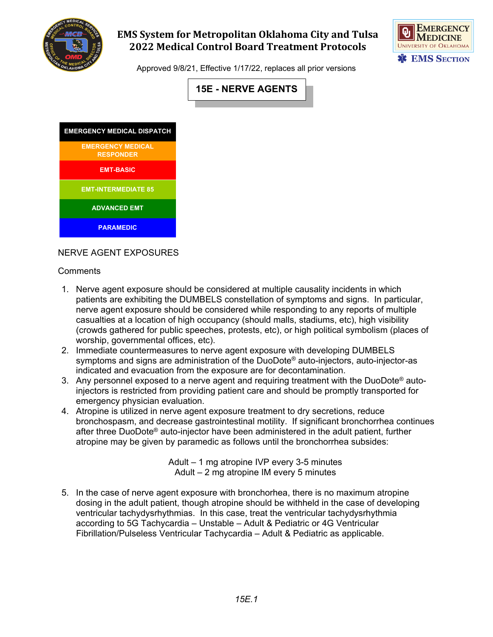

# **EMS System for Metropolitan Oklahoma City and Tulsa 2022 Medical Control Board Treatment Protocols**



Approved 9/8/21, Effective 1/17/22, replaces all prior versions



| <b>EMERGENCY MEDICAL DISPATCH</b>            |
|----------------------------------------------|
| <b>EMERGENCY MEDICAL</b><br><b>RESPONDER</b> |
| <b>EMT-BASIC</b>                             |
| <b>EMT-INTERMEDIATE 85</b>                   |
| <b>ADVANCED EMT</b>                          |
| <b>PARAMEDIC</b>                             |

### NERVE AGENT EXPOSURES

#### **Comments**

- 1. Nerve agent exposure should be considered at multiple causality incidents in which patients are exhibiting the DUMBELS constellation of symptoms and signs. In particular, nerve agent exposure should be considered while responding to any reports of multiple casualties at a location of high occupancy (should malls, stadiums, etc), high visibility (crowds gathered for public speeches, protests, etc), or high political symbolism (places of worship, governmental offices, etc).
- 2. Immediate countermeasures to nerve agent exposure with developing DUMBELS symptoms and signs are administration of the DuoDote® auto-injectors, auto-injector-as indicated and evacuation from the exposure are for decontamination.
- 3. Any personnel exposed to a nerve agent and requiring treatment with the DuoDote® autoinjectors is restricted from providing patient care and should be promptly transported for emergency physician evaluation.
- 4. Atropine is utilized in nerve agent exposure treatment to dry secretions, reduce bronchospasm, and decrease gastrointestinal motility. If significant bronchorrhea continues after three DuoDote® auto-injector have been administered in the adult patient, further atropine may be given by paramedic as follows until the bronchorrhea subsides:

Adult – 1 mg atropine IVP every 3-5 minutes Adult – 2 mg atropine IM every 5 minutes

5. In the case of nerve agent exposure with bronchorhea, there is no maximum atropine dosing in the adult patient, though atropine should be withheld in the case of developing ventricular tachydysrhythmias. In this case, treat the ventricular tachydysrhythmia according to 5G Tachycardia – Unstable – Adult & Pediatric or 4G Ventricular Fibrillation/Pulseless Ventricular Tachycardia – Adult & Pediatric as applicable.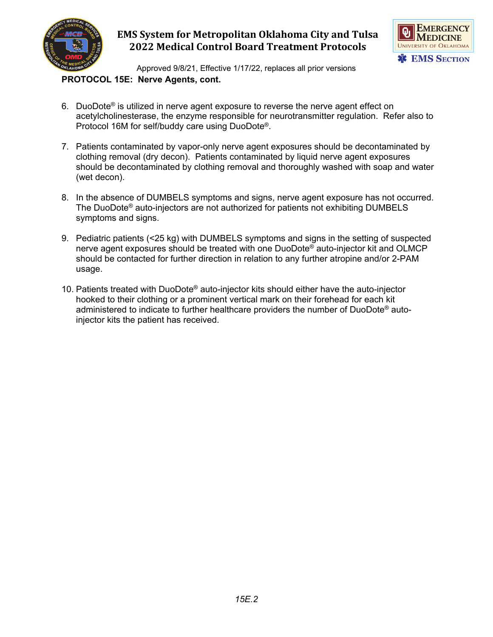

# **EMS System for Metropolitan Oklahoma City and Tulsa 2022 Medical Control Board Treatment Protocols**



Approved 9/8/21, Effective 1/17/22, replaces all prior versions **PROTOCOL 15E: Nerve Agents, cont.**

- 6. DuoDote® is utilized in nerve agent exposure to reverse the nerve agent effect on acetylcholinesterase, the enzyme responsible for neurotransmitter regulation. Refer also to Protocol 16M for self/buddy care using DuoDote®.
- 7. Patients contaminated by vapor-only nerve agent exposures should be decontaminated by clothing removal (dry decon). Patients contaminated by liquid nerve agent exposures should be decontaminated by clothing removal and thoroughly washed with soap and water (wet decon).
- 8. In the absence of DUMBELS symptoms and signs, nerve agent exposure has not occurred. The DuoDote® auto-injectors are not authorized for patients not exhibiting DUMBELS symptoms and signs.
- 9. Pediatric patients (<25 kg) with DUMBELS symptoms and signs in the setting of suspected nerve agent exposures should be treated with one DuoDote® auto-injector kit and OLMCP should be contacted for further direction in relation to any further atropine and/or 2-PAM usage.
- 10. Patients treated with DuoDote® auto-injector kits should either have the auto-injector hooked to their clothing or a prominent vertical mark on their forehead for each kit administered to indicate to further healthcare providers the number of DuoDote® autoinjector kits the patient has received.